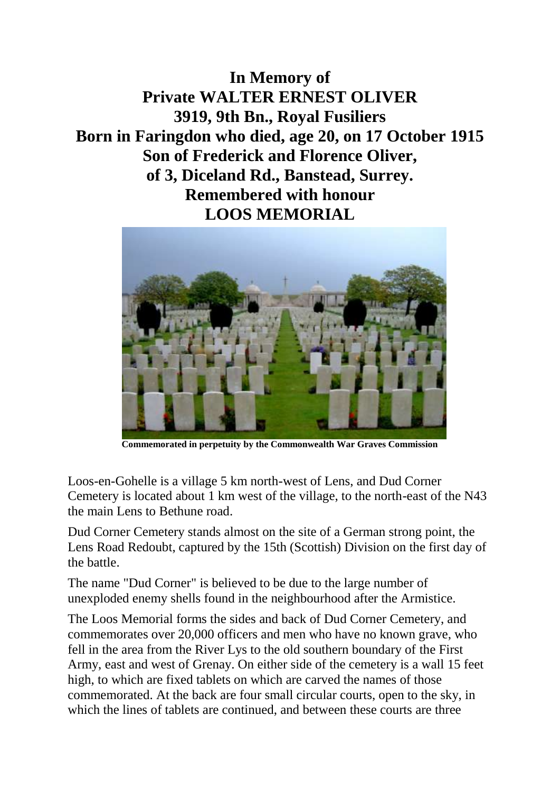**In Memory of Private WALTER ERNEST OLIVER 3919, 9th Bn., Royal Fusiliers Born in Faringdon who died, age 20, on 17 October 1915 Son of Frederick and Florence Oliver, of 3, Diceland Rd., Banstead, Surrey. Remembered with honour LOOS MEMORIAL**



**Commemorated in perpetuity by the Commonwealth War Graves Commission** 

Loos-en-Gohelle is a village 5 km north-west of Lens, and Dud Corner Cemetery is located about 1 km west of the village, to the north-east of the N43 the main Lens to Bethune road.

Dud Corner Cemetery stands almost on the site of a German strong point, the Lens Road Redoubt, captured by the 15th (Scottish) Division on the first day of the battle.

The name "Dud Corner" is believed to be due to the large number of unexploded enemy shells found in the neighbourhood after the Armistice.

The Loos Memorial forms the sides and back of Dud Corner Cemetery, and commemorates over 20,000 officers and men who have no known grave, who fell in the area from the River Lys to the old southern boundary of the First Army, east and west of Grenay. On either side of the cemetery is a wall 15 feet high, to which are fixed tablets on which are carved the names of those commemorated. At the back are four small circular courts, open to the sky, in which the lines of tablets are continued, and between these courts are three